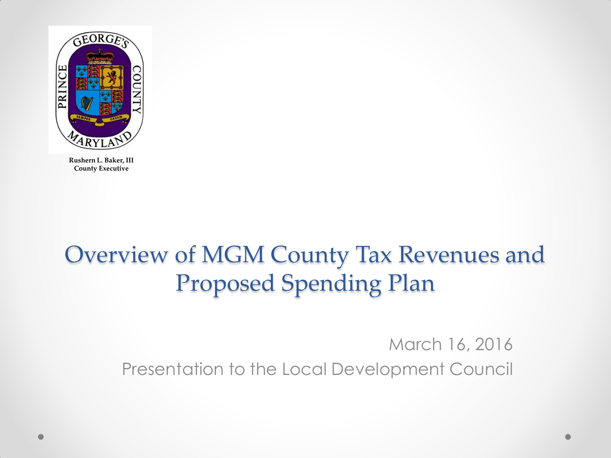

## Overview of MGM County Tax Revenues and Proposed Spending Plan

March 16, 2016 Presentation to the Local Development Council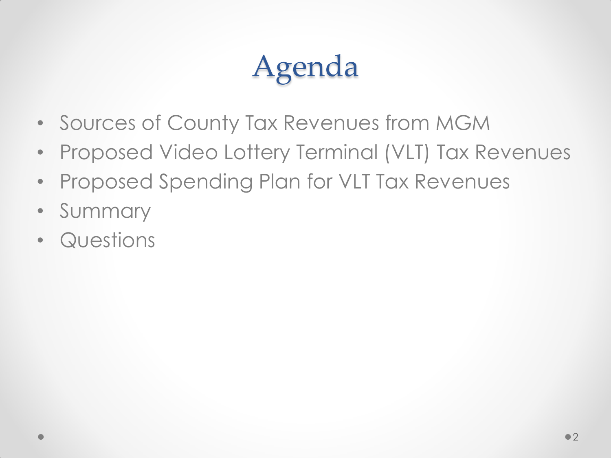# Agenda

- Sources of County Tax Revenues from MGM
- Proposed Video Lottery Terminal (VLT) Tax Revenues
- Proposed Spending Plan for VLT Tax Revenues
- Summary
- Questions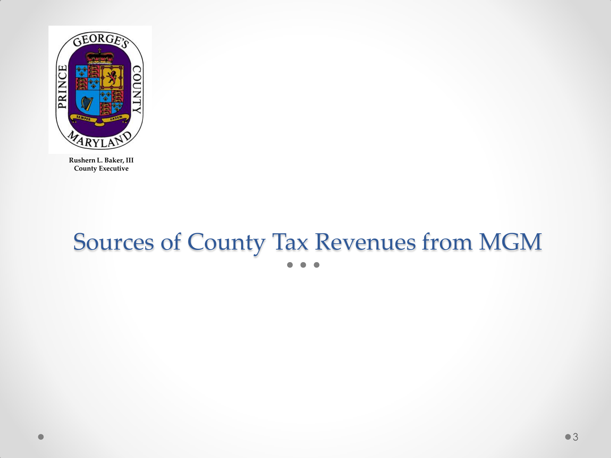

# Sources of County Tax Revenues from MGM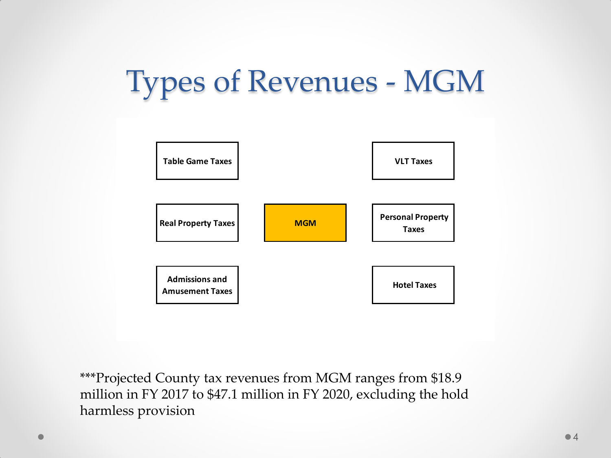# Types of Revenues - MGM



\*\*\*Projected County tax revenues from MGM ranges from \$18.9 million in FY 2017 to \$47.1 million in FY 2020, excluding the hold harmless provision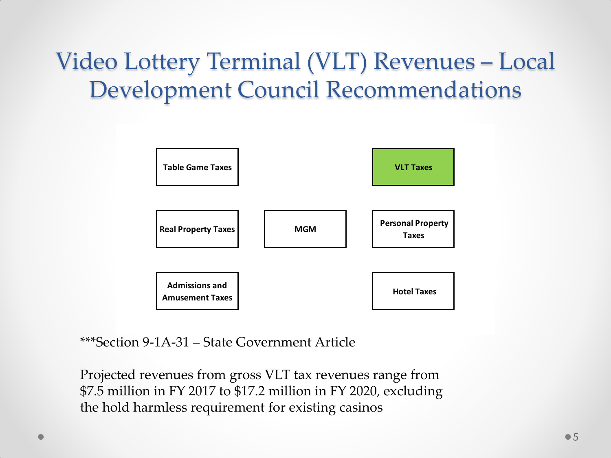## Video Lottery Terminal (VLT) Revenues – Local Development Council Recommendations



\*\*\*Section 9-1A-31 – State Government Article

Projected revenues from gross VLT tax revenues range from \$7.5 million in FY 2017 to \$17.2 million in FY 2020, excluding the hold harmless requirement for existing casinos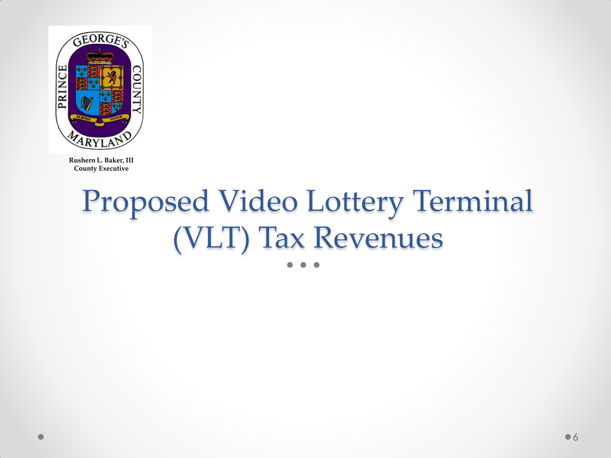

# Proposed Video Lottery Terminal (VLT) Tax Revenues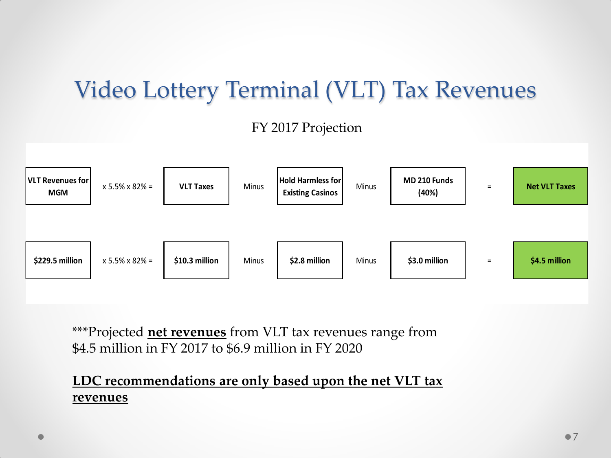## Video Lottery Terminal (VLT) Tax Revenues

#### FY 2017 Projection



\*\*\*Projected **net revenues** from VLT tax revenues range from \$4.5 million in FY 2017 to \$6.9 million in FY 2020

#### **LDC recommendations are only based upon the net VLT tax revenues**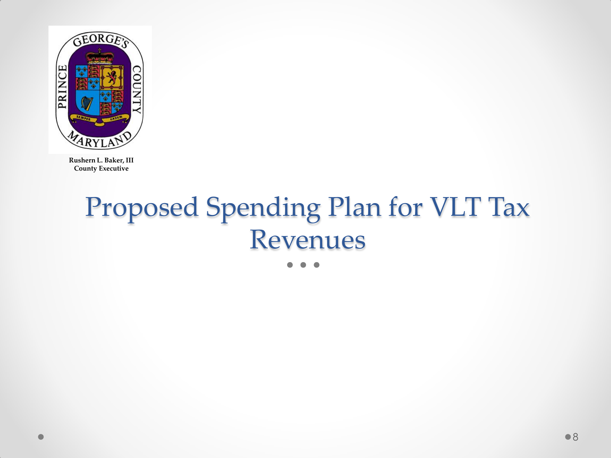

# Proposed Spending Plan for VLT Tax Revenues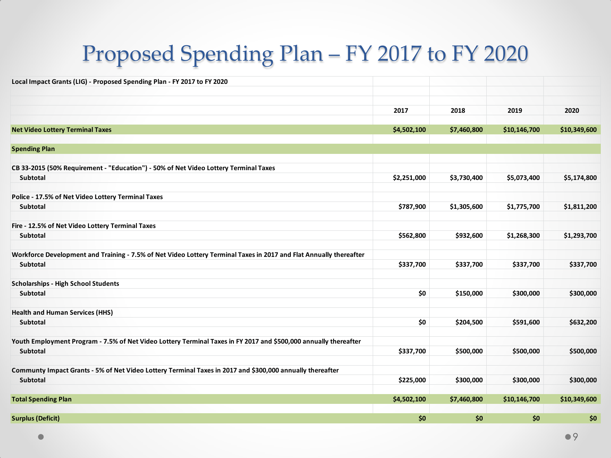## Proposed Spending Plan – FY 2017 to FY 2020

| Local Impact Grants (LIG) - Proposed Spending Plan - FY 2017 to FY 2020                                            |             |             |              |              |
|--------------------------------------------------------------------------------------------------------------------|-------------|-------------|--------------|--------------|
|                                                                                                                    |             |             |              |              |
|                                                                                                                    |             |             |              |              |
|                                                                                                                    | 2017        | 2018        | 2019         | 2020         |
| <b>Net Video Lottery Terminal Taxes</b>                                                                            | \$4,502,100 | \$7,460,800 | \$10,146,700 | \$10,349,600 |
|                                                                                                                    |             |             |              |              |
| <b>Spending Plan</b>                                                                                               |             |             |              |              |
|                                                                                                                    |             |             |              |              |
| CB 33-2015 (50% Requirement - "Education") - 50% of Net Video Lottery Terminal Taxes                               |             |             |              |              |
| Subtotal                                                                                                           | \$2,251,000 | \$3,730,400 | \$5,073,400  | \$5,174,800  |
| Police - 17.5% of Net Video Lottery Terminal Taxes                                                                 |             |             |              |              |
| Subtotal                                                                                                           | \$787,900   | \$1,305,600 | \$1,775,700  | \$1,811,200  |
| Fire - 12.5% of Net Video Lottery Terminal Taxes                                                                   |             |             |              |              |
| Subtotal                                                                                                           | \$562,800   | \$932,600   | \$1,268,300  | \$1,293,700  |
| Workforce Development and Training - 7.5% of Net Video Lottery Terminal Taxes in 2017 and Flat Annually thereafter |             |             |              |              |
| Subtotal                                                                                                           | \$337,700   | \$337,700   | \$337,700    | \$337,700    |
| <b>Scholarships - High School Students</b>                                                                         |             |             |              |              |
| Subtotal                                                                                                           | \$0         | \$150,000   | \$300,000    | \$300,000    |
| <b>Health and Human Services (HHS)</b>                                                                             |             |             |              |              |
| Subtotal                                                                                                           | \$0         | \$204,500   | \$591,600    | \$632,200    |
| Youth Employment Program - 7.5% of Net Video Lottery Terminal Taxes in FY 2017 and \$500,000 annually thereafter   |             |             |              |              |
| Subtotal                                                                                                           | \$337,700   | \$500,000   | \$500,000    | \$500,000    |
| Communty Impact Grants - 5% of Net Video Lottery Terminal Taxes in 2017 and \$300,000 annually thereafter          |             |             |              |              |
| Subtotal                                                                                                           | \$225,000   | \$300,000   | \$300,000    | \$300,000    |
| <b>Total Spending Plan</b>                                                                                         | \$4,502,100 | \$7,460,800 | \$10,146,700 | \$10,349,600 |
|                                                                                                                    |             |             |              |              |
| <b>Surplus (Deficit)</b>                                                                                           | \$0         | \$0         | \$0          | \$0          |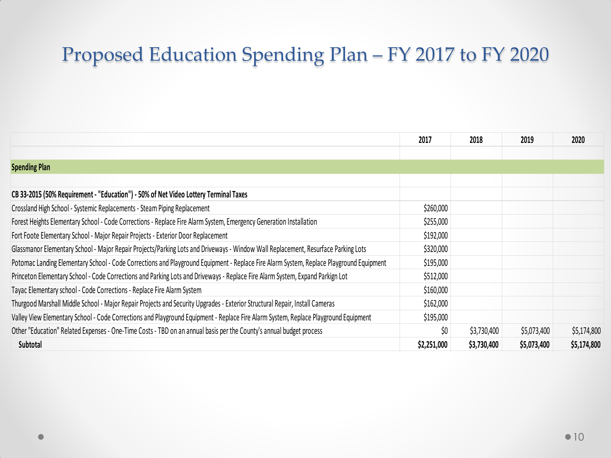### Proposed Education Spending Plan – FY 2017 to FY 2020

|                                                                                                                                         | 2017        | 2018        | 2019        | 2020        |
|-----------------------------------------------------------------------------------------------------------------------------------------|-------------|-------------|-------------|-------------|
|                                                                                                                                         |             |             |             |             |
| <b>Spending Plan</b>                                                                                                                    |             |             |             |             |
|                                                                                                                                         |             |             |             |             |
| CB 33-2015 (50% Requirement - "Education") - 50% of Net Video Lottery Terminal Taxes                                                    |             |             |             |             |
| Crossland High School - Systemic Replacements - Steam Piping Replacement                                                                | \$260,000   |             |             |             |
| Forest Heights Elementary School - Code Corrections - Replace Fire Alarm System, Emergency Generation Installation                      | \$255,000   |             |             |             |
| Fort Foote Elementary School - Major Repair Projects - Exterior Door Replacement                                                        | \$192,000   |             |             |             |
| Glassmanor Elementary School - Major Repair Projects/Parking Lots and Driveways - Window Wall Replacement, Resurface Parking Lots       | \$320,000   |             |             |             |
| Potomac Landing Elementary School - Code Corrections and Playground Equipment - Replace Fire Alarm System, Replace Playground Equipment | \$195,000   |             |             |             |
| Princeton Elementary School - Code Corrections and Parking Lots and Driveways - Replace Fire Alarm System, Expand Parkign Lot           | \$512,000   |             |             |             |
| Tayac Elementary school - Code Corrections - Replace Fire Alarm System                                                                  | \$160,000   |             |             |             |
| Thurgood Marshall Middle School - Major Repair Projects and Security Upgrades - Exterior Structural Repair, Install Cameras             | \$162,000   |             |             |             |
| Valley View Elementary School - Code Corrections and Playground Equipment - Replace Fire Alarm System, Replace Playground Equipment     | \$195,000   |             |             |             |
| Other "Education" Related Expenses - One-Time Costs - TBD on an annual basis per the County's annual budget process                     | \$0         | \$3,730,400 | \$5,073,400 | \$5,174,800 |
| Subtotal                                                                                                                                | \$2,251,000 | \$3,730,400 | \$5,073,400 | \$5,174,800 |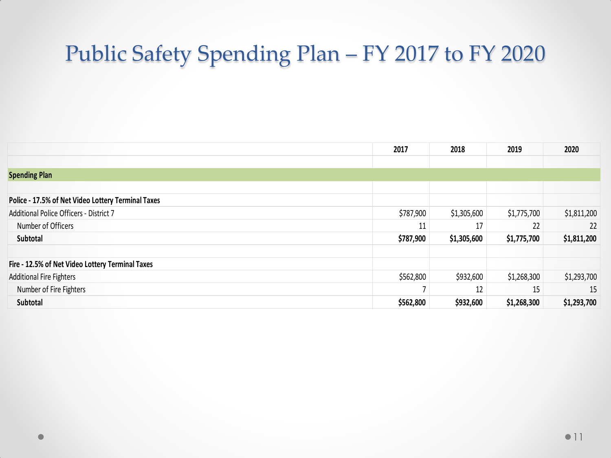### Public Safety Spending Plan – FY 2017 to FY 2020

|                                                    | 2017      | 2018        | 2019        | 2020        |
|----------------------------------------------------|-----------|-------------|-------------|-------------|
|                                                    |           |             |             |             |
| <b>Spending Plan</b>                               |           |             |             |             |
|                                                    |           |             |             |             |
| Police - 17.5% of Net Video Lottery Terminal Taxes |           |             |             |             |
| Additional Police Officers - District 7            | \$787,900 | \$1,305,600 | \$1,775,700 | \$1,811,200 |
| Number of Officers                                 | 11        | 17          | 22          | 22          |
| Subtotal                                           | \$787,900 | \$1,305,600 | \$1,775,700 | \$1,811,200 |
| Fire - 12.5% of Net Video Lottery Terminal Taxes   |           |             |             |             |
| <b>Additional Fire Fighters</b>                    | \$562,800 | \$932,600   | \$1,268,300 | \$1,293,700 |
| Number of Fire Fighters                            |           | 12          | 15          | 15          |
| Subtotal                                           | \$562,800 | \$932,600   | \$1,268,300 | \$1,293,700 |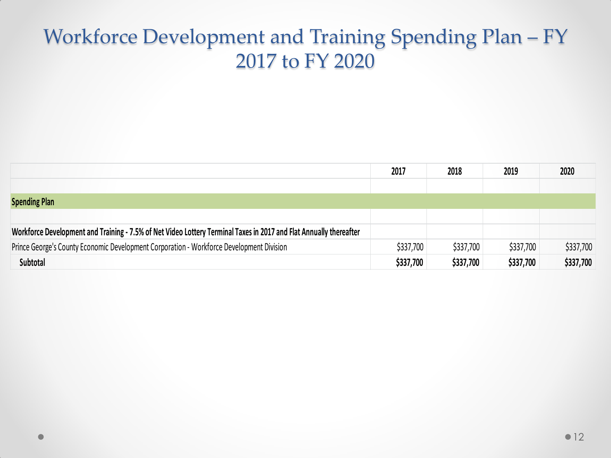### Workforce Development and Training Spending Plan – FY 2017 to FY 2020

|                                                                                                                    | 2017      | 2018      | 2019      | 2020      |
|--------------------------------------------------------------------------------------------------------------------|-----------|-----------|-----------|-----------|
|                                                                                                                    |           |           |           |           |
| <b>Spending Plan</b>                                                                                               |           |           |           |           |
|                                                                                                                    |           |           |           |           |
| Workforce Development and Training - 7.5% of Net Video Lottery Terminal Taxes in 2017 and Flat Annually thereafter |           |           |           |           |
| Prince George's County Economic Development Corporation - Workforce Development Division                           | \$337,700 | \$337,700 | \$337,700 | \$337,700 |
| Subtotal                                                                                                           | \$337,700 | \$337,700 | \$337,700 | \$337,700 |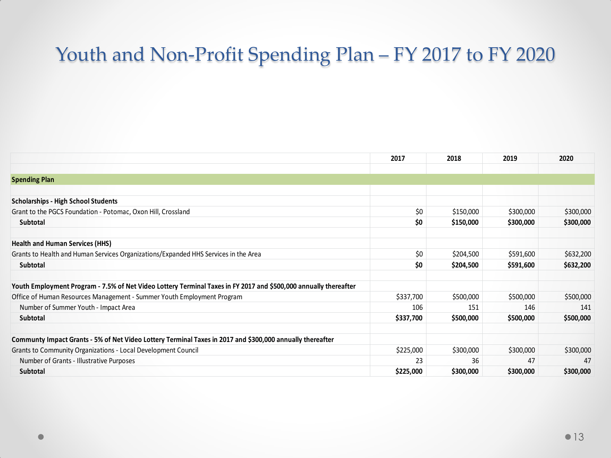### Youth and Non-Profit Spending Plan – FY 2017 to FY 2020

|                                                                                                                  | 2017      | 2018      | 2019      | 2020      |
|------------------------------------------------------------------------------------------------------------------|-----------|-----------|-----------|-----------|
|                                                                                                                  |           |           |           |           |
| <b>Spending Plan</b>                                                                                             |           |           |           |           |
|                                                                                                                  |           |           |           |           |
| <b>Scholarships - High School Students</b>                                                                       |           |           |           |           |
| Grant to the PGCS Foundation - Potomac, Oxon Hill, Crossland                                                     | \$0       | \$150,000 | \$300,000 | \$300,000 |
| Subtotal                                                                                                         | \$0       | \$150,000 | \$300,000 | \$300,000 |
| <b>Health and Human Services (HHS)</b>                                                                           |           |           |           |           |
| Grants to Health and Human Services Organizations/Expanded HHS Services in the Area                              | \$0       | \$204,500 | \$591,600 | \$632,200 |
| <b>Subtotal</b>                                                                                                  | \$0       | \$204,500 | \$591,600 | \$632,200 |
| Youth Employment Program - 7.5% of Net Video Lottery Terminal Taxes in FY 2017 and \$500,000 annually thereafter |           |           |           |           |
| Office of Human Resources Management - Summer Youth Employment Program                                           | \$337,700 | \$500,000 | \$500,000 | \$500,000 |
| Number of Summer Youth - Impact Area                                                                             | 106       | 151       | 146       | 141       |
| Subtotal                                                                                                         | \$337,700 | \$500,000 | \$500,000 | \$500,000 |
| Communty Impact Grants - 5% of Net Video Lottery Terminal Taxes in 2017 and \$300,000 annually thereafter        |           |           |           |           |
| Grants to Community Organizations - Local Development Council                                                    | \$225,000 | \$300,000 | \$300,000 | \$300,000 |
| Number of Grants - Illustrative Purposes                                                                         | 23        | 36        | 47        | 47        |
| <b>Subtotal</b>                                                                                                  | \$225,000 | \$300,000 | \$300,000 | \$300,000 |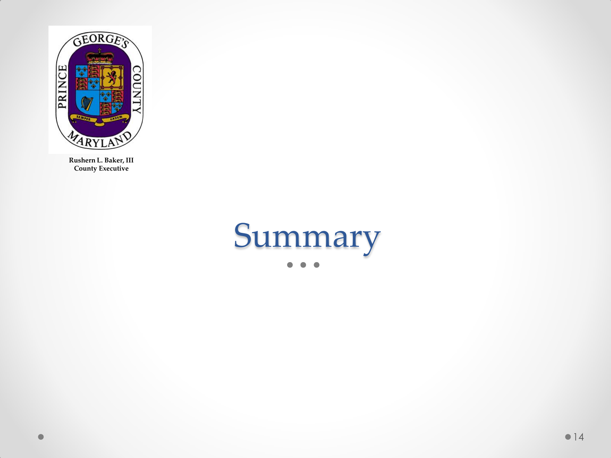

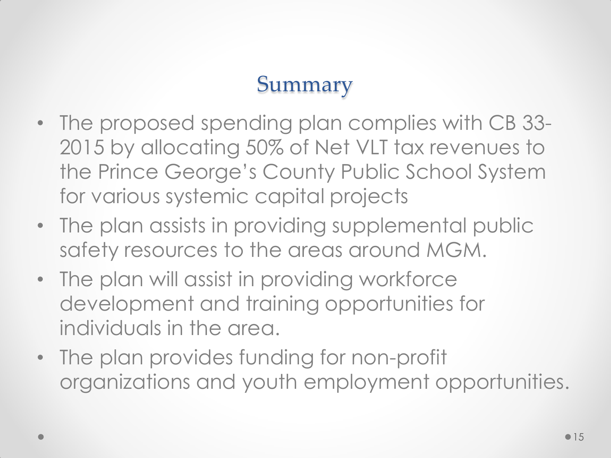### Summary

- The proposed spending plan complies with CB 33- 2015 by allocating 50% of Net VLT tax revenues to the Prince George's County Public School System for various systemic capital projects
- The plan assists in providing supplemental public safety resources to the areas around MGM.
- The plan will assist in providing workforce development and training opportunities for individuals in the area.
- The plan provides funding for non-profit organizations and youth employment opportunities.